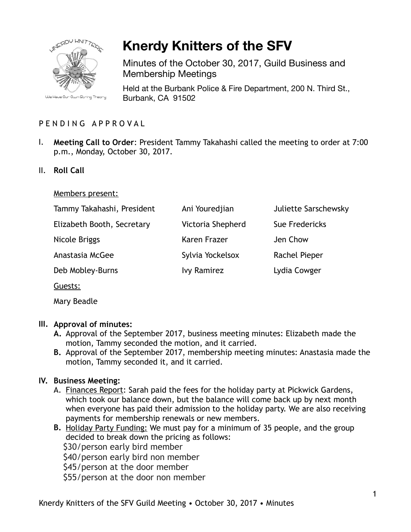

# **Knerdy Knitters of the SFV**

Minutes of the October 30, 2017, Guild Business and Membership Meetings

Held at the Burbank Police & Fire Department, 200 N. Third St., Burbank, CA 91502

# PENDING APPROVAL

- I. **Meeting Call to Order**: President Tammy Takahashi called the meeting to order at 7:00 p.m., Monday, October 30, 2017.
- II. **Roll Call**

#### Members present:

| Tammy Takahashi, President | Ani Youredjian     | <b>Juliette Sarschewsky</b> |
|----------------------------|--------------------|-----------------------------|
| Elizabeth Booth, Secretary | Victoria Shepherd  | Sue Fredericks              |
| Nicole Briggs              | Karen Frazer       | Jen Chow                    |
| Anastasia McGee            | Sylvia Yockelsox   | <b>Rachel Pieper</b>        |
| Deb Mobley-Burns           | <b>Ivy Ramirez</b> | Lydia Cowger                |
| Guests:                    |                    |                             |

Mary Beadle

#### **III. Approval of minutes:**

- **A.** Approval of the September 2017, business meeting minutes: Elizabeth made the motion, Tammy seconded the motion, and it carried.
- **B.** Approval of the September 2017, membership meeting minutes: Anastasia made the motion, Tammy seconded it, and it carried.

#### **IV. Business Meeting:**

- A. Finances Report: Sarah paid the fees for the holiday party at Pickwick Gardens, which took our balance down, but the balance will come back up by next month when everyone has paid their admission to the holiday party. We are also receiving payments for membership renewals or new members.
- **B.** Holiday Party Funding: We must pay for a minimum of 35 people, and the group decided to break down the pricing as follows: \$30/person early bird member \$40/person early bird non member \$45/person at the door member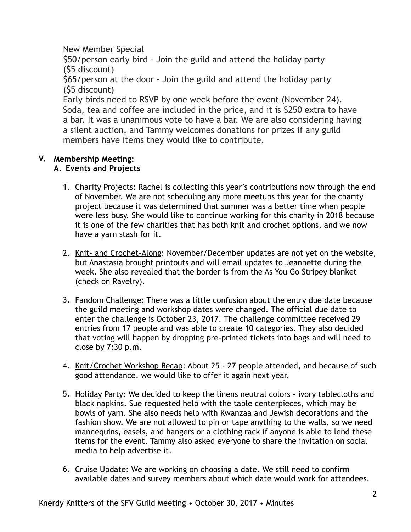New Member Special

 \$50/person early bird - Join the guild and attend the holiday party (\$5 discount)

 \$65/person at the door - Join the guild and attend the holiday party (\$5 discount)

 Early birds need to RSVP by one week before the event (November 24). Soda, tea and coffee are included in the price, and it is \$250 extra to have a bar. It was a unanimous vote to have a bar. We are also considering having a silent auction, and Tammy welcomes donations for prizes if any guild members have items they would like to contribute.

## **V. Membership Meeting:**

## **A. Events and Projects**

- 1. Charity Projects: Rachel is collecting this year's contributions now through the end of November. We are not scheduling any more meetups this year for the charity project because it was determined that summer was a better time when people were less busy. She would like to continue working for this charity in 2018 because it is one of the few charities that has both knit and crochet options, and we now have a yarn stash for it.
- 2. Knit- and Crochet-Along: November/December updates are not yet on the website, but Anastasia brought printouts and will email updates to Jeannette during the week. She also revealed that the border is from the As You Go Stripey blanket (check on Ravelry).
- 3. Fandom Challenge: There was a little confusion about the entry due date because the guild meeting and workshop dates were changed. The official due date to enter the challenge is October 23, 2017. The challenge committee received 29 entries from 17 people and was able to create 10 categories. They also decided that voting will happen by dropping pre-printed tickets into bags and will need to close by 7:30 p.m.
- 4. Knit/Crochet Workshop Recap: About 25 27 people attended, and because of such good attendance, we would like to offer it again next year.
- 5. Holiday Party: We decided to keep the linens neutral colors ivory tablecloths and black napkins. Sue requested help with the table centerpieces, which may be bowls of yarn. She also needs help with Kwanzaa and Jewish decorations and the fashion show. We are not allowed to pin or tape anything to the walls, so we need mannequins, easels, and hangers or a clothing rack if anyone is able to lend these items for the event. Tammy also asked everyone to share the invitation on social media to help advertise it.
- 6. Cruise Update: We are working on choosing a date. We still need to confirm available dates and survey members about which date would work for attendees.